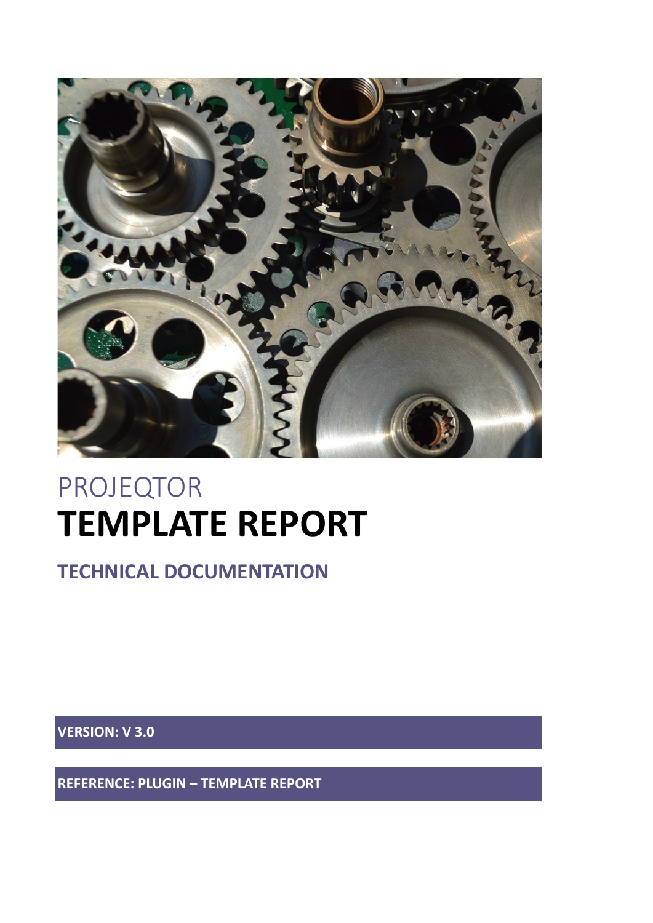

# PROJEQTOR **TEMPLATE REPORT**

**TECHNICAL DOCUMENTATION**

**VERSION: V 3.0**

**REFERENCE: PLUGIN – TEMPLATE REPORT**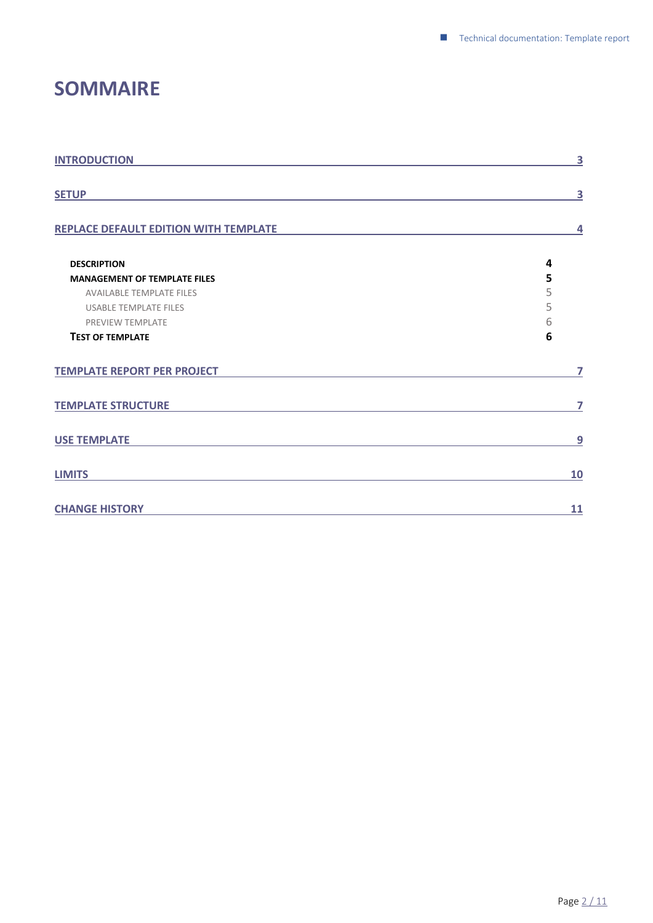### <span id="page-1-0"></span>**SOMMAIRE**

| <b>INTRODUCTION</b>                   | 3              |
|---------------------------------------|----------------|
| <b>SETUP</b>                          | 3              |
| REPLACE DEFAULT EDITION WITH TEMPLATE | $\overline{4}$ |
| <b>DESCRIPTION</b>                    | 4              |
| <b>MANAGEMENT OF TEMPLATE FILES</b>   | 5              |
| <b>AVAILABLE TEMPLATE FILES</b>       | 5              |
| <b>USABLE TEMPLATE FILES</b>          | 5              |
| <b>PREVIEW TEMPLATE</b>               | 6              |
| <b>TEST OF TEMPLATE</b>               | 6              |
| <b>TEMPLATE REPORT PER PROJECT</b>    | 7              |
| <b>TEMPLATE STRUCTURE</b>             | 7              |
| <b>USE TEMPLATE</b>                   | 9              |
| <b>LIMITS</b>                         | <b>10</b>      |
| <b>CHANGE HISTORY</b>                 | 11             |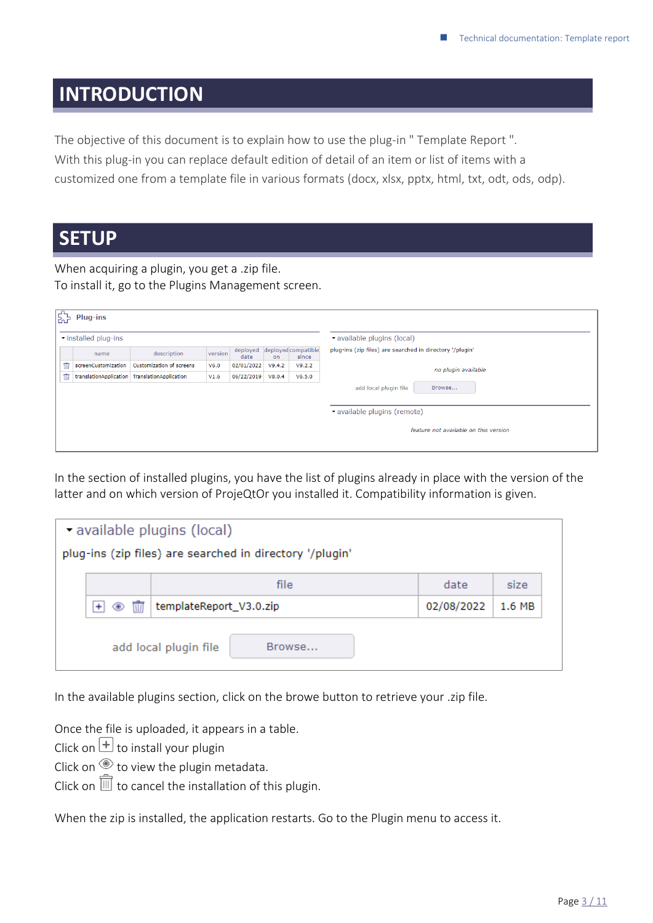### <span id="page-2-0"></span>**INTRODUCTION**

The objective of this document is to explain how to use the plug-in " Template Report ". With this plug-in you can replace default edition of detail of an item or list of items with a customized one from a template file in various formats (docx, xlsx, pptx, html, txt, odt, ods, odp).

### <span id="page-2-1"></span>**SETUP**

When acquiring a plugin, you get a .zip file. To install it, go to the Plugins Management screen.

| $\boxed{\vec{\text{E}}_B}$ | Plug-ins               |                          |         |                  |        |                              |                                                          |
|----------------------------|------------------------|--------------------------|---------|------------------|--------|------------------------------|----------------------------------------------------------|
|                            | installed plug-ins     |                          |         |                  |        |                              | v available plugins (local)                              |
|                            | name                   | description              | version | deployed<br>date | on     | deployed compatible<br>since | plug-ins (zip files) are searched in directory '/plugin' |
| Ŵ                          | screenCustomization    | Customization of screens | V6.0    | 02/01/2022       | V9.4.2 | V9.2.2                       | no plugin available                                      |
| Ŵ                          | translationApplication | TranslationApplication   | V1.6    | 06/22/2019       | V8.0.4 | V6.5.0                       |                                                          |
|                            |                        |                          |         |                  |        |                              | add local plugin file<br>Browse                          |
|                            |                        |                          |         |                  |        |                              | vavailable plugins (remote)                              |
|                            |                        |                          |         |                  |        |                              | feature not available on this version                    |
|                            |                        |                          |         |                  |        |                              |                                                          |

In the section of installed plugins, you have the list of plugins already in place with the version of the latter and on which version of ProjeQtOr you installed it. Compatibility information is given.

| available plugins (local)<br>plug-ins (zip files) are searched in directory '/plugin' |                                       |                                 |            |        |  |  |  |  |  |
|---------------------------------------------------------------------------------------|---------------------------------------|---------------------------------|------------|--------|--|--|--|--|--|
|                                                                                       | file<br>date<br>size                  |                                 |            |        |  |  |  |  |  |
|                                                                                       | $\overline{\mathbf{u}}$<br>◉<br>$\pm$ | templateReport_V3.0.zip         | 02/08/2022 | 1.6 MB |  |  |  |  |  |
|                                                                                       |                                       | add local plugin file<br>Browse |            |        |  |  |  |  |  |

In the available plugins section, click on the browe button to retrieve your .zip file.

Once the file is uploaded, it appears in a table.

Click on  $\pm$  to install your plugin

Click on  $\circledast$  to view the plugin metadata.

Click on  $\bar{1}$  to cancel the installation of this plugin.

When the zip is installed, the application restarts. Go to the Plugin menu to access it.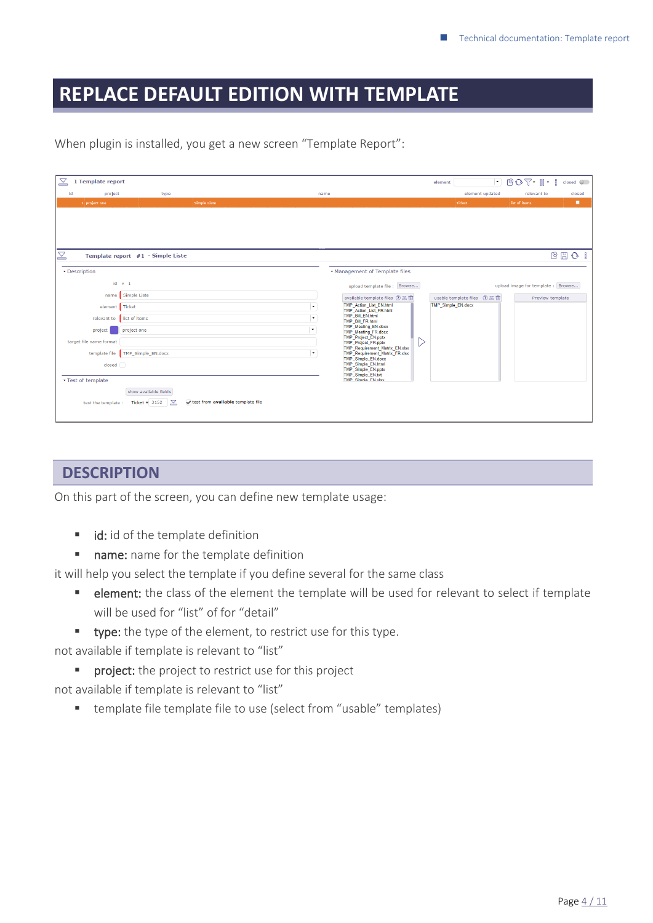### <span id="page-3-0"></span>**REPLACE DEFAULT EDITION WITH TEMPLATE**

| $\mathbf{Z}$ | 1 Template report       |                                   |              |                      |                                                             |   | element                            | $\blacksquare$ $\blacksquare$ $\blacksquare$ $\blacksquare$ $\blacksquare$ $\blacksquare$ $\blacksquare$ $\blacksquare$ $\blacksquare$ $\blacksquare$ |                  | $close \ \odot$ |
|--------------|-------------------------|-----------------------------------|--------------|----------------------|-------------------------------------------------------------|---|------------------------------------|-------------------------------------------------------------------------------------------------------------------------------------------------------|------------------|-----------------|
| id           | project                 | type                              |              | name                 |                                                             |   | element updated                    |                                                                                                                                                       | relevant to      | closed          |
|              | 1 project one           |                                   | Simple Liste |                      |                                                             |   | Ticket                             | list of items                                                                                                                                         |                  | п               |
|              |                         |                                   |              |                      |                                                             |   |                                    |                                                                                                                                                       |                  |                 |
|              |                         |                                   |              |                      |                                                             |   |                                    |                                                                                                                                                       |                  |                 |
|              |                         |                                   |              |                      |                                                             |   |                                    |                                                                                                                                                       |                  |                 |
|              |                         |                                   |              |                      |                                                             |   |                                    |                                                                                                                                                       |                  |                 |
| $\mathbb Z$  |                         | Template report #1 - Simple Liste |              |                      |                                                             |   |                                    |                                                                                                                                                       |                  | 四日 〇 日          |
|              |                         |                                   |              |                      |                                                             |   |                                    |                                                                                                                                                       |                  |                 |
|              | • Description           |                                   |              |                      | • Management of Template files                              |   |                                    |                                                                                                                                                       |                  |                 |
|              |                         | $id \neq 1$                       |              |                      | upload template file : Browse                               |   |                                    | upload image for template : Browse                                                                                                                    |                  |                 |
|              | name                    | Simple Liste                      |              |                      | available template files $\mathcal{D} \leq \mathbb{m}$      |   | usable template files $(2) \leq 1$ |                                                                                                                                                       | Preview template |                 |
|              | element Ticket          |                                   |              | $\ddot{\phantom{0}}$ | <b>TMP</b> Action List EN.html<br>TMP Action List FR.html   |   | <b>TMP Simple EN.docx</b>          |                                                                                                                                                       |                  |                 |
|              | relevant to             | list of items                     |              | l.                   | TMP Bill EN.html<br>TMP Bill FR.html                        |   |                                    |                                                                                                                                                       |                  |                 |
|              | project                 | project one                       |              | l vi                 | <b>TMP Meeting EN.docx</b><br><b>TMP Meeting FR.docx</b>    |   |                                    |                                                                                                                                                       |                  |                 |
|              | target file name format |                                   |              |                      | <b>TMP</b> Project EN.pptx<br><b>TMP</b> Project FR.pptx    | ▷ |                                    |                                                                                                                                                       |                  |                 |
|              |                         |                                   |              | $\ddot{\phantom{0}}$ | TMP Requirement Matrix EN.xlsx                              |   |                                    |                                                                                                                                                       |                  |                 |
|              | template file           | TMP_Simple_EN.docx                |              | <b>Contract</b>      | <b>TMP Requirement Matrix FR.xlsx</b><br>TMP Simple EN.docx |   |                                    |                                                                                                                                                       |                  |                 |
|              | $close \frown$          |                                   |              |                      | <b>TMP Simple EN.html</b><br><b>TMP Simple EN.pptx</b>      |   |                                    |                                                                                                                                                       |                  |                 |
|              | Test of template        |                                   |              |                      | TMP Simple EN.txt<br>TMP Simple FN view                     |   |                                    |                                                                                                                                                       |                  |                 |

When plugin is installed, you get a new screen "Template Report":

### <span id="page-3-1"></span>**DESCRIPTION**

On this part of the screen, you can define new template usage:

■ id: id of the template definition

show available fields

test the template : Ticket  $\frac{2}{3152}$   $\sqrt{}$  test from **available template file** 

■ name: name for the template definition

it will help you select the template if you define several for the same class

- **E** element: the class of the element the template will be used for relevant to select if template will be used for "list" of for "detail"
- **type:** the type of the element, to restrict use for this type.

not available if template is relevant to "list"

- **•** project: the project to restrict use for this project
- not available if template is relevant to "list"
	- template file template file to use (select from "usable" templates)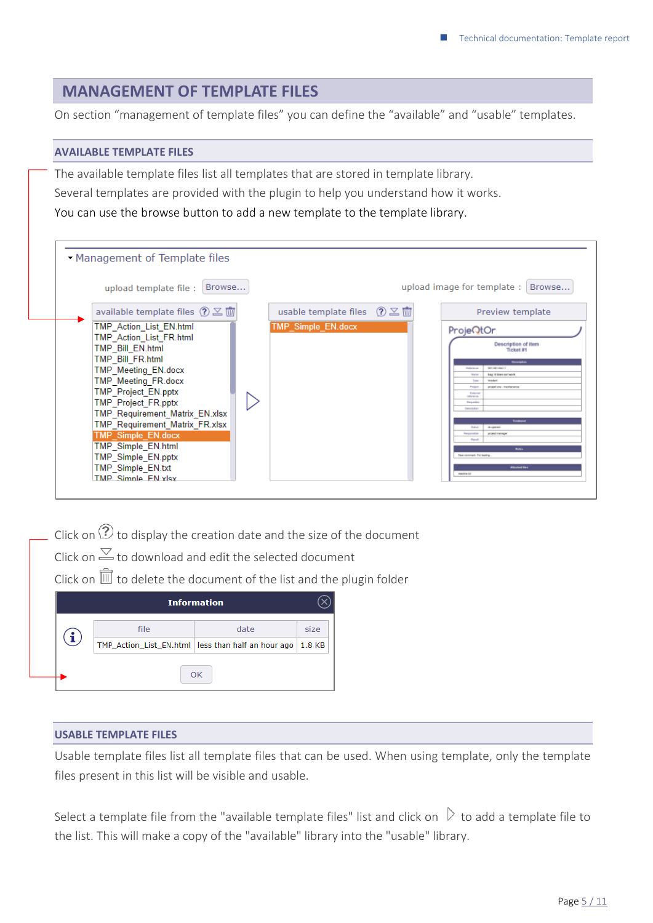### <span id="page-4-0"></span>**MANAGEMENT OF TEMPLATE FILES**

<span id="page-4-1"></span>On section "management of template files" you can define the "available" and "usable" templates.

#### **AVAILABLE TEMPLATE FILES**

The available template files list all templates that are stored in template library. Several templates are provided with the plugin to help you understand how it works. You can use the browse button to add a new template to the template library.

| Browse<br>upload template file:                                                                                                                                                                             |                                                 | upload image for template:                                                                         | Browse                                                                                                                              |
|-------------------------------------------------------------------------------------------------------------------------------------------------------------------------------------------------------------|-------------------------------------------------|----------------------------------------------------------------------------------------------------|-------------------------------------------------------------------------------------------------------------------------------------|
| available template files $\textcircled{?} \subseteq \overline{\textcircled{u}}$                                                                                                                             | usable template files $\sqrt{2}$ $\frac{1}{10}$ |                                                                                                    | Preview template                                                                                                                    |
| TMP Action List EN.html<br>TMP Action List FR.html<br>TMP Bill EN.html<br>TMP Bill FR.html<br>TMP Meeting EN.docx<br>TMP_Meeting_FR.docx<br><b>TMP Project EN.pptx</b>                                      | TMP Simple EN.docx                              | ProjeQtOr<br>Rafinstage<br>National<br>Tem<br>Product<br>Externa<br>rafterence<br><b>Financial</b> | Description of item<br>Ticket #1<br>Genergeton<br>001-031-090-1<br>bug: it does not work<br>in nichard<br>prejast ora - mainkaramsa |
| <b>TMP Project FR.pptx</b><br>TMP Requirement Matrix EN.xlsx<br>TMP_Requirement_Matrix_FR.xlsx<br>TMP_Simple_EN.docx<br>TMP Simple EN.html<br>TMP Simple EN.pptx<br>TMP Simple EN.txt<br>TMP Simple FN ylsy |                                                 | Description<br><b>Skaling</b><br>Responsible<br>Result<br>New connect, For leating.<br>readers for | Touchours<br>re-agencies?<br>project manager<br><b>Notice</b><br><b>Attached files</b>                                              |

Click on  $\Omega$  to display the creation date and the size of the document Click on  $\le$  to download and edit the selected document

Click on  $\overline{\mathbb{U}}$  to delete the document of the list and the plugin folder

|    | <b>Information</b> |                                                               |  |  |  |  |  |  |  |  |
|----|--------------------|---------------------------------------------------------------|--|--|--|--|--|--|--|--|
|    | file<br>date       |                                                               |  |  |  |  |  |  |  |  |
|    |                    | TMP_Action_List_EN.html   less than half an hour ago   1.8 KB |  |  |  |  |  |  |  |  |
| OK |                    |                                                               |  |  |  |  |  |  |  |  |

#### <span id="page-4-2"></span>**USABLE TEMPLATE FILES**

Usable template files list all template files that can be used. When using template, only the template files present in this list will be visible and usable.

Select a template file from the "available template files" list and click on  $\triangleright$  to add a template file to the list. This will make a copy of the "available" library into the "usable" library.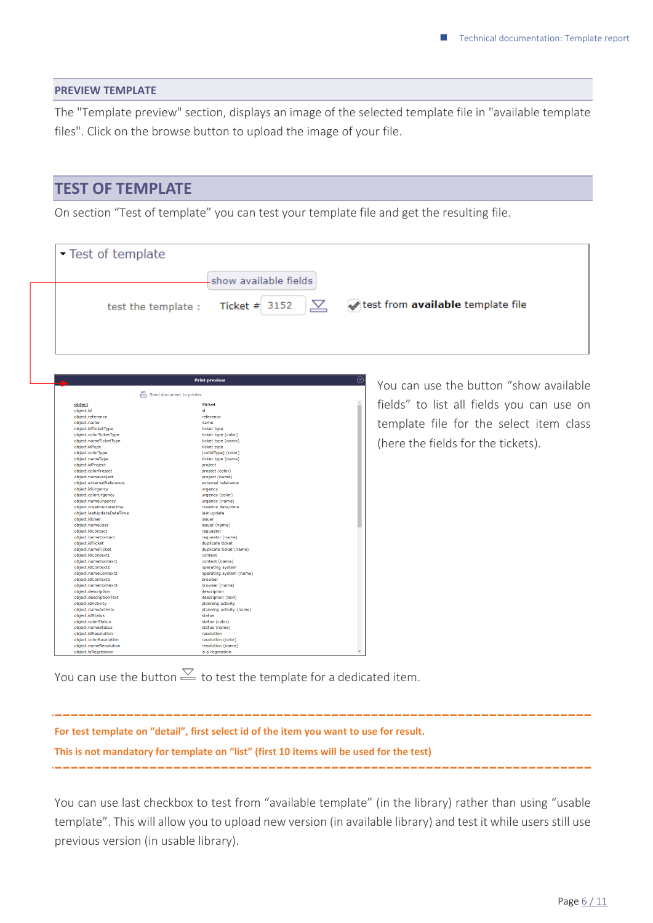#### <span id="page-5-0"></span>**PREVIEW TEMPLATE**

The "Template preview" section, displays an image of the selected template file in "available template files". Click on the browse button to upload the image of your file.

### <span id="page-5-1"></span>**TEST OF TEMPLATE**

On section "Test of template" you can test your template file and get the resulting file.

| Test of template                                                                                                                                                                                                                                                                                                                                                                                                                                                                                                                                                                                                                                                                                                                                                                                                    |                                                                                                                                                                                                                                                                                                                                                                                                                                                                                                                                                                                                                                                 |                                                                                                                                                                      |
|---------------------------------------------------------------------------------------------------------------------------------------------------------------------------------------------------------------------------------------------------------------------------------------------------------------------------------------------------------------------------------------------------------------------------------------------------------------------------------------------------------------------------------------------------------------------------------------------------------------------------------------------------------------------------------------------------------------------------------------------------------------------------------------------------------------------|-------------------------------------------------------------------------------------------------------------------------------------------------------------------------------------------------------------------------------------------------------------------------------------------------------------------------------------------------------------------------------------------------------------------------------------------------------------------------------------------------------------------------------------------------------------------------------------------------------------------------------------------------|----------------------------------------------------------------------------------------------------------------------------------------------------------------------|
|                                                                                                                                                                                                                                                                                                                                                                                                                                                                                                                                                                                                                                                                                                                                                                                                                     | show available fields                                                                                                                                                                                                                                                                                                                                                                                                                                                                                                                                                                                                                           |                                                                                                                                                                      |
| test the template :                                                                                                                                                                                                                                                                                                                                                                                                                                                                                                                                                                                                                                                                                                                                                                                                 | $\mathrel{\boxtimes}$<br>Ticket $# 3152$                                                                                                                                                                                                                                                                                                                                                                                                                                                                                                                                                                                                        | test from available template file                                                                                                                                    |
|                                                                                                                                                                                                                                                                                                                                                                                                                                                                                                                                                                                                                                                                                                                                                                                                                     | <b>Print preview</b>                                                                                                                                                                                                                                                                                                                                                                                                                                                                                                                                                                                                                            | ⊗                                                                                                                                                                    |
| Send document to printer<br>object<br>object.id<br>object.reference<br>object.name<br>object.idTicketType<br>object.colorTicketType<br>object.nameTicketType<br>object.idType<br>object.colorType<br>object.nameType<br>object.idProject<br>object.colorProject<br>object.nameProject<br>object.externalReference<br>object.idUrgency<br>object.colorUrgency<br>object.nameUrgency<br>object.creationDateTime<br>object.lastUpdateDateTime<br>object.idUser<br>object.nameUser<br>object.idContact<br>object.nameContact<br>object.idTicket<br>object.nameTicket<br>object.idContext1<br>object.nameContext1<br>object.idContext2<br>object.nameContext2<br>object.idContext3<br>object.nameContext3<br>object.description<br>object.descriptionText<br>object.idActivity<br>object.nameActivity<br>object.idStatus | <b>Ticket</b><br>id<br>reference<br>name<br>ticket type<br>ticket type (color)<br>ticket type (name)<br>ticket type<br>[colIdType] (color)<br>ticket type (name)<br>project<br>project (color)<br>project (name)<br>external reference<br>urgency<br>urgency (color)<br>urgency (name)<br>creation date/time<br>last update<br>issuer<br>issuer (name)<br>requestor<br>requestor (name)<br>duplicate ticket<br>duplicate ticket (name)<br>context<br>context (name)<br>operating system<br>operating system (name)<br>browser<br>browser (name)<br>description<br>description (text)<br>planning activity<br>planning activity (name)<br>status | You can use the button "show available<br>fields" to list all fields you can use on<br>template file for the select item class<br>(here the fields for the tickets). |

You can use the button  $\leq$  to test the template for a dedicated item.

**For test template on "detail", first select id of the item you want to use for result. This is not mandatory for template on "list" (first 10 items will be used for the test)**

You can use last checkbox to test from "available template" (in the library) rather than using "usable template". This will allow you to upload new version (in available library) and test it while users still use previous version (in usable library).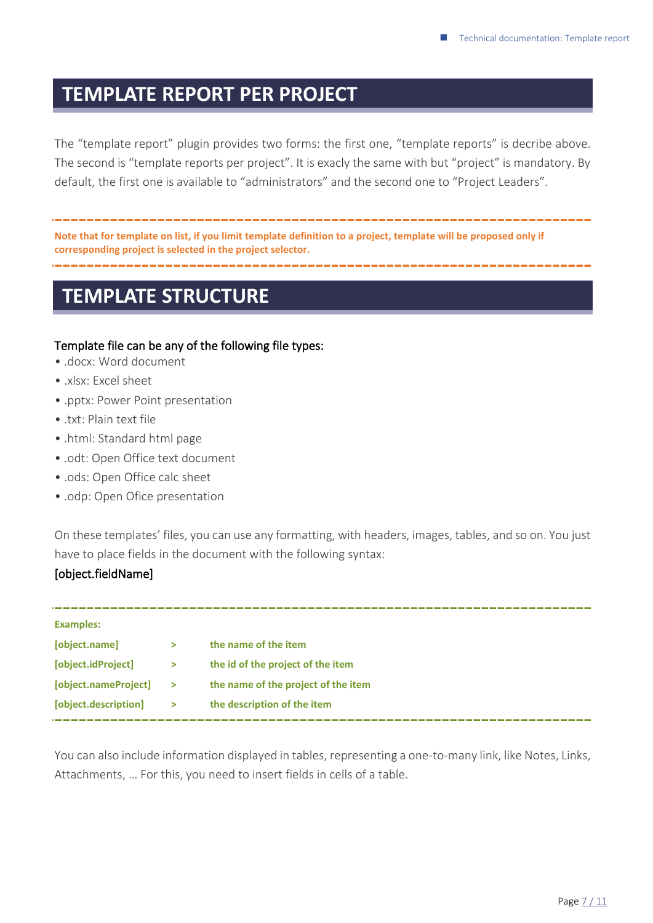### <span id="page-6-0"></span>**TEMPLATE REPORT PER PROJECT**

The "template report" plugin provides two forms: the first one, "template reports" is decribe above. The second is "template reports per project". It is exacly the same with but "project" is mandatory. By default, the first one is available to "administrators" and the second one to "Project Leaders".

**Note that for template on list, if you limit template definition to a project, template will be proposed only if corresponding project is selected in the project selector.**

### <span id="page-6-1"></span>**TEMPLATE STRUCTURE**

#### Template file can be any of the following file types:

- .docx: Word document
- .xlsx: Excel sheet
- .pptx: Power Point presentation
- $\bullet$  txt: Plain text file
- .html: Standard html page
- .odt: Open Office text document
- .ods: Open Office calc sheet
- .odp: Open Ofice presentation

On these templates' files, you can use any formatting, with headers, images, tables, and so on. You just have to place fields in the document with the following syntax:

#### [object.fieldName]

|               | the name of the item                |
|---------------|-------------------------------------|
| >             | the id of the project of the item   |
| $\rightarrow$ | the name of the project of the item |
| $\geq$        | the description of the item         |
|               |                                     |

You can also include information displayed in tables, representing a one-to-many link, like Notes, Links, Attachments, … For this, you need to insert fields in cells of a table.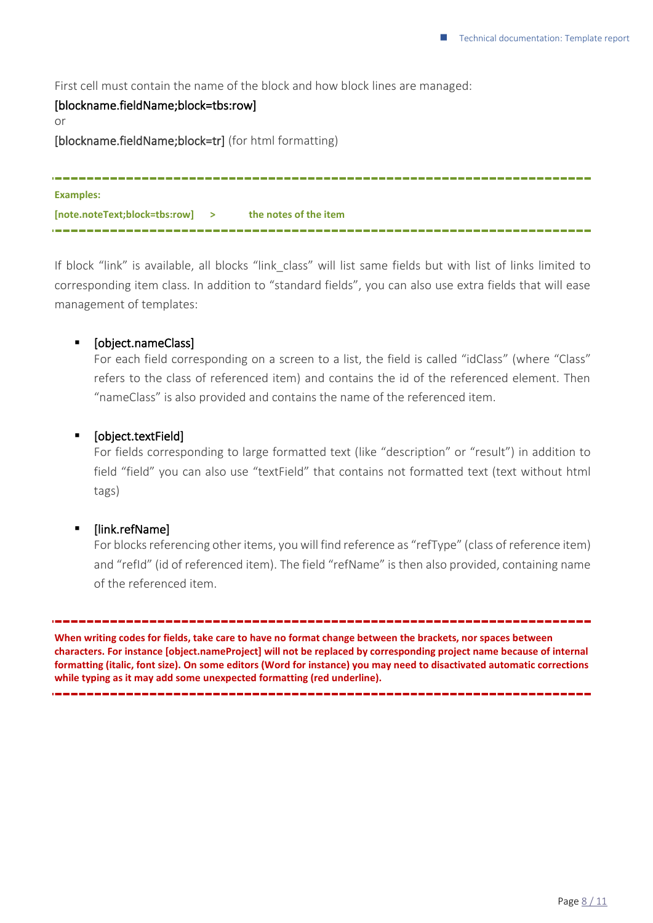First cell must contain the name of the block and how block lines are managed:

### [blockname.fieldName;block=tbs:row] or [blockname.fieldName;block=tr] (for html formatting) **Examples: [note.noteText;block=tbs:row] > the notes of the item**

If block "link" is available, all blocks "link class" will list same fields but with list of links limited to corresponding item class. In addition to "standard fields", you can also use extra fields that will ease management of templates:

#### ▪ [object.nameClass]

For each field corresponding on a screen to a list, the field is called "idClass" (where "Class" refers to the class of referenced item) and contains the id of the referenced element. Then "nameClass" is also provided and contains the name of the referenced item.

\_\_\_\_\_\_\_\_\_\_\_\_\_\_\_\_\_\_\_\_\_\_\_\_\_\_\_\_\_

#### ▪ [object.textField]

For fields corresponding to large formatted text (like "description" or "result") in addition to field "field" you can also use "textField" that contains not formatted text (text without html tags)

#### ▪ [link.refName]

For blocks referencing other items, you will find reference as "refType" (class of reference item) and "refId" (id of referenced item). The field "refName" is then also provided, containing name of the referenced item.

**When writing codes for fields, take care to have no format change between the brackets, nor spaces between characters. For instance [object.nameProject] will not be replaced by corresponding project name because of internal formatting (italic, font size). On some editors (Word for instance) you may need to disactivated automatic corrections while typing as it may add some unexpected formatting (red underline).**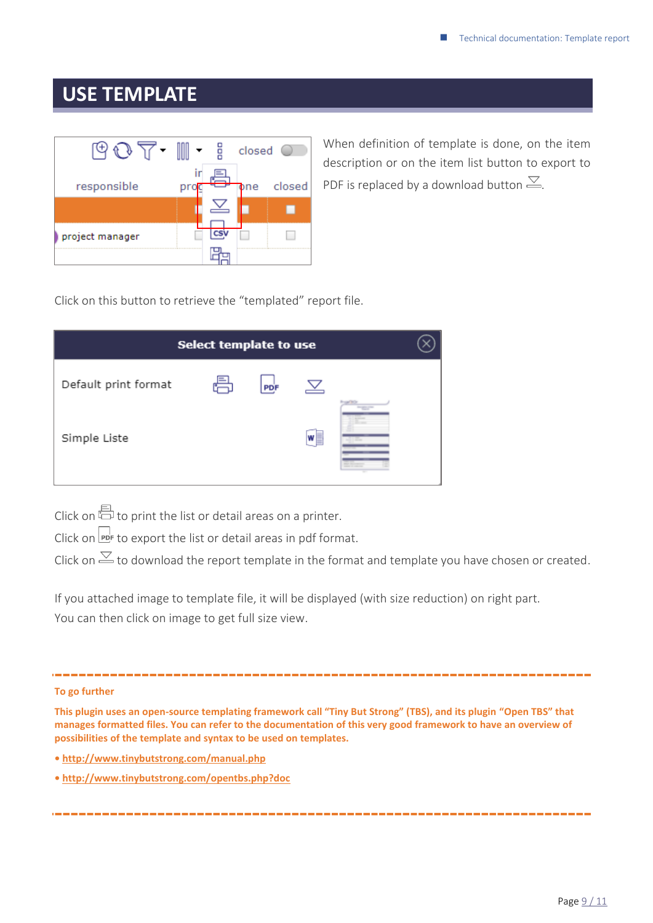### <span id="page-8-0"></span>**USE TEMPLATE**



When definition of template is done, on the item description or on the item list button to export to PDF is replaced by a download button  $\leq$ .

Click on this button to retrieve the "templated" report file.

| <b>Select template to use</b> |  |     |   |                                      |  |  |  |  |
|-------------------------------|--|-----|---|--------------------------------------|--|--|--|--|
| Default print format          |  | PDF |   |                                      |  |  |  |  |
| Simple Liste                  |  |     | W | <b>CALCULUS</b><br><b>TELEVISION</b> |  |  |  |  |

Click on  $\overline{\boxplus}$  to print the list or detail areas on a printer.

Click on  $\mathbb{P}$  to export the list or detail areas in pdf format.

Click on  $\leq$  to download the report template in the format and template you have chosen or created.

If you attached image to template file, it will be displayed (with size reduction) on right part. You can then click on image to get full size view.

#### **To go further**

**This plugin uses an open-source templating framework call "Tiny But Strong" (TBS), and its plugin "Open TBS" that manages formatted files. You can refer to the documentation of this very good framework to have an overview of possibilities of the template and syntax to be used on templates.** 

- **• <http://www.tinybutstrong.com/manual.php>**
- **<http://www.tinybutstrong.com/opentbs.php?doc>**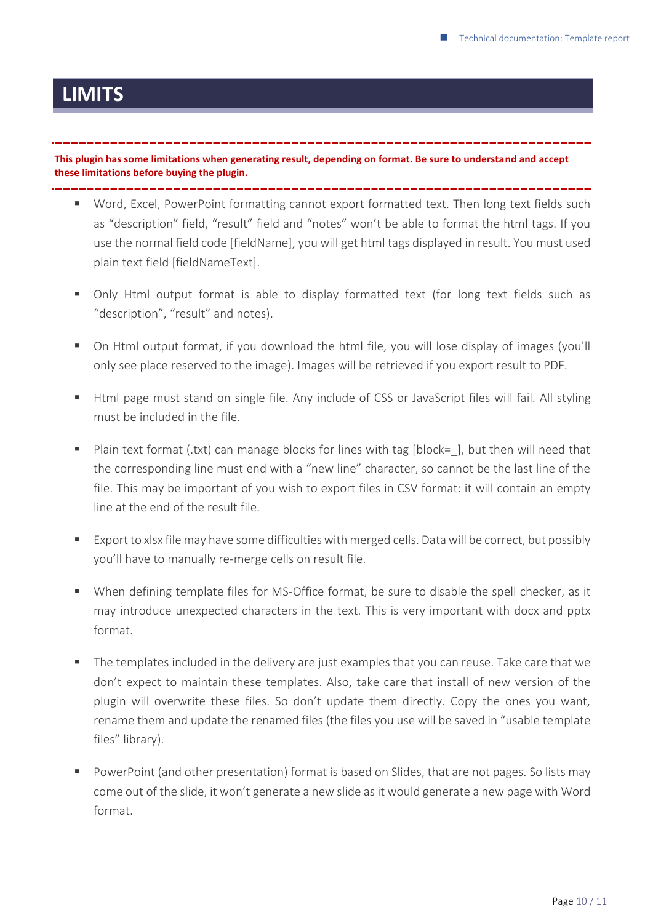### <span id="page-9-0"></span>**LIMITS**

**This plugin has some limitations when generating result, depending on format. Be sure to understand and accept these limitations before buying the plugin.**

- Word, Excel, PowerPoint formatting cannot export formatted text. Then long text fields such as "description" field, "result" field and "notes" won't be able to format the html tags. If you use the normal field code [fieldName], you will get html tags displayed in result. You must used plain text field [fieldNameText].
- Only Html output format is able to display formatted text (for long text fields such as "description", "result" and notes).
- On Html output format, if you download the html file, you will lose display of images (you'll only see place reserved to the image). Images will be retrieved if you export result to PDF.
- Html page must stand on single file. Any include of CSS or JavaScript files will fail. All styling must be included in the file.
- Plain text format (.txt) can manage blocks for lines with tag [block=], but then will need that the corresponding line must end with a "new line" character, so cannot be the last line of the file. This may be important of you wish to export files in CSV format: it will contain an empty line at the end of the result file.
- Export to xlsx file may have some difficulties with merged cells. Data will be correct, but possibly you'll have to manually re-merge cells on result file.
- When defining template files for MS-Office format, be sure to disable the spell checker, as it may introduce unexpected characters in the text. This is very important with docx and pptx format.
- The templates included in the delivery are just examples that you can reuse. Take care that we don't expect to maintain these templates. Also, take care that install of new version of the plugin will overwrite these files. So don't update them directly. Copy the ones you want, rename them and update the renamed files (the files you use will be saved in "usable template files" library).
- PowerPoint (and other presentation) format is based on Slides, that are not pages. So lists may come out of the slide, it won't generate a new slide as it would generate a new page with Word format.